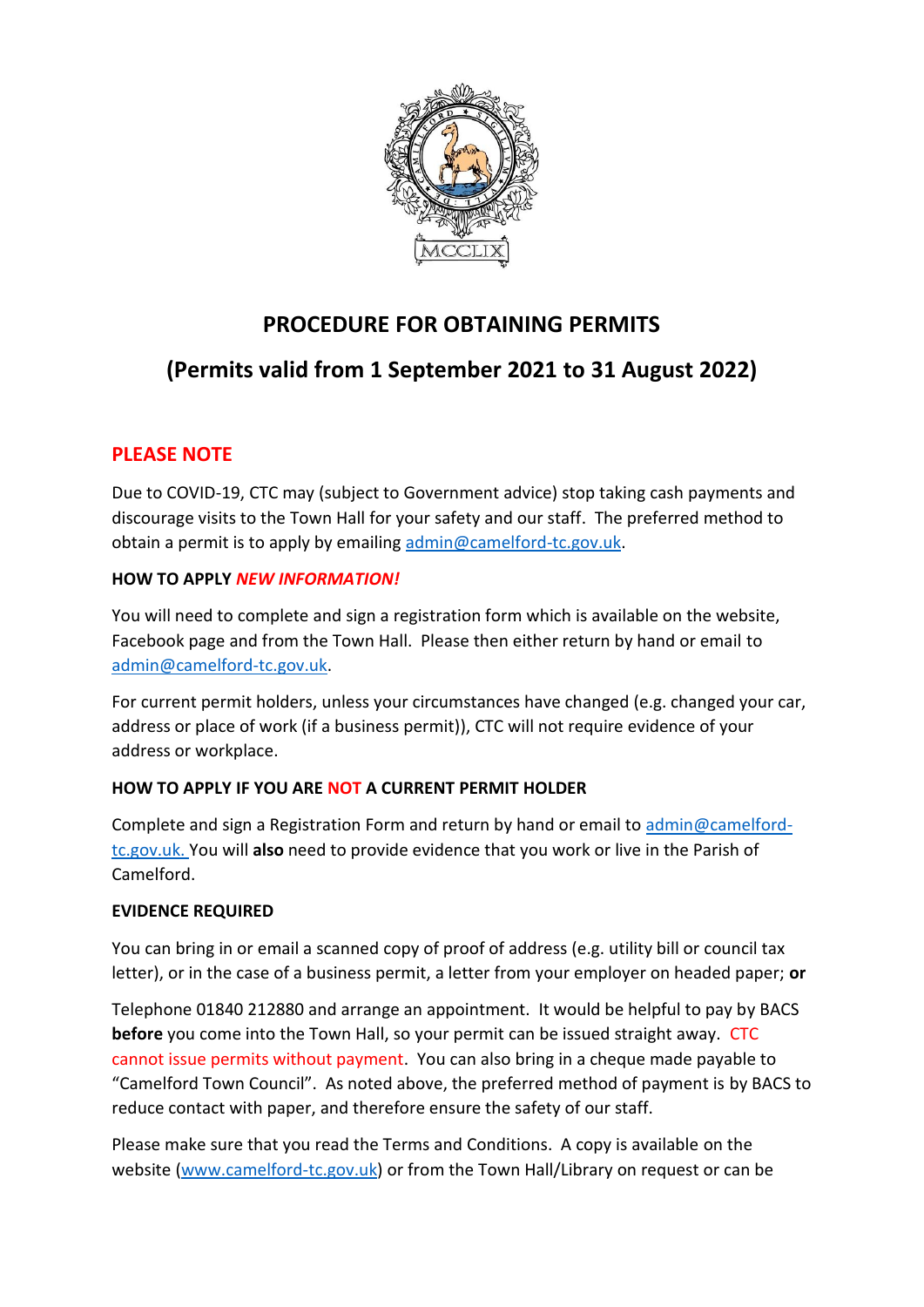

## **PROCEDURE FOR OBTAINING PERMITS**

# **(Permits valid from 1 September 2021 to 31 August 2022)**

## **PLEASE NOTE**

Due to COVID-19, CTC may (subject to Government advice) stop taking cash payments and discourage visits to the Town Hall for your safety and our staff. The preferred method to obtain a permit is to apply by emailing [admin@camelford-tc.gov.uk.](mailto:admin@camelford-tc.gov.uk)

#### **HOW TO APPLY** *NEW INFORMATION!*

You will need to complete and sign a registration form which is available on the website, Facebook page and from the Town Hall. Please then either return by hand or email to [admin@camelford-tc.gov.uk.](mailto:admin@camelford-tc.gov.uk)

For current permit holders, unless your circumstances have changed (e.g. changed your car, address or place of work (if a business permit)), CTC will not require evidence of your address or workplace.

### **HOW TO APPLY IF YOU ARE NOT A CURRENT PERMIT HOLDER**

Complete and sign a Registration Form and return by hand or email to [admin@camelford](mailto:admin@camelford-tc.gov.uk)[tc.gov.uk.](mailto:admin@camelford-tc.gov.uk) You will **also** need to provide evidence that you work or live in the Parish of Camelford.

### **EVIDENCE REQUIRED**

You can bring in or email a scanned copy of proof of address (e.g. utility bill or council tax letter), or in the case of a business permit, a letter from your employer on headed paper; **or**

Telephone 01840 212880 and arrange an appointment. It would be helpful to pay by BACS **before** you come into the Town Hall, so your permit can be issued straight away. CTC cannot issue permits without payment. You can also bring in a cheque made payable to "Camelford Town Council". As noted above, the preferred method of payment is by BACS to reduce contact with paper, and therefore ensure the safety of our staff.

Please make sure that you read the Terms and Conditions. A copy is available on the website [\(www.camelford-tc.gov.uk\)](http://www.camelford-tc.gov.uk/) or from the Town Hall/Library on request or can be